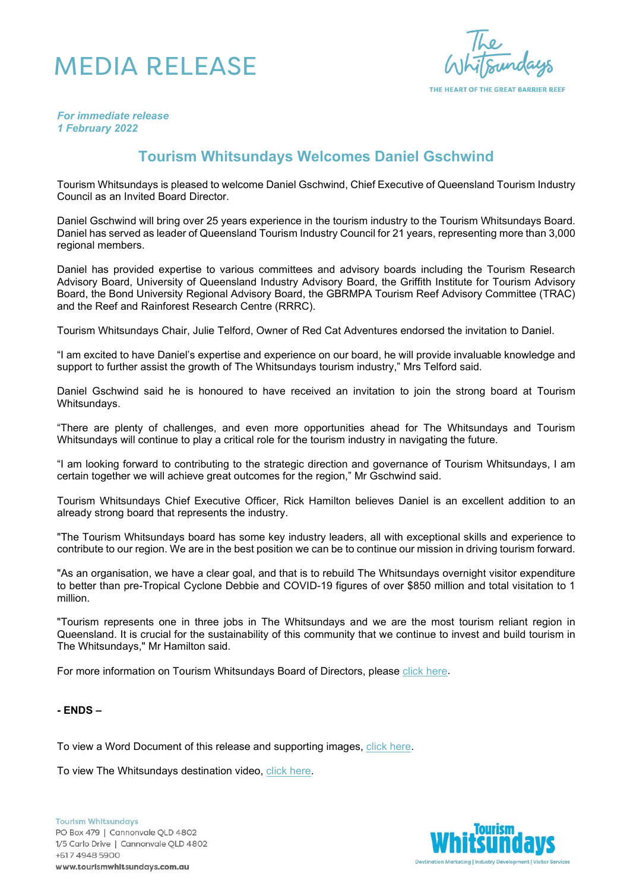## MEDIA RELEASE

THE HEART OF THE GREAT BARRIER REEF

*For immediate release 1 February 2022*

## **Tourism Whitsundays Welcomes Daniel Gschwind**

Tourism Whitsundays is pleased to welcome Daniel Gschwind, Chief Executive of Queensland Tourism Industry Council as an Invited Board Director.

Daniel Gschwind will bring over 25 years experience in the tourism industry to the Tourism Whitsundays Board. Daniel has served as leader of Queensland Tourism Industry Council for 21 years, representing more than 3,000 regional members.

Daniel has provided expertise to various committees and advisory boards including the Tourism Research Advisory Board, University of Queensland Industry Advisory Board, the Griffith Institute for Tourism Advisory Board, the Bond University Regional Advisory Board, the GBRMPA Tourism Reef Advisory Committee (TRAC) and the Reef and Rainforest Research Centre (RRRC).

Tourism Whitsundays Chair, Julie Telford, Owner of Red Cat Adventures endorsed the invitation to Daniel.

"I am excited to have Daniel's expertise and experience on our board, he will provide invaluable knowledge and support to further assist the growth of The Whitsundays tourism industry," Mrs Telford said.

Daniel Gschwind said he is honoured to have received an invitation to join the strong board at Tourism Whitsundays.

"There are plenty of challenges, and even more opportunities ahead for The Whitsundays and Tourism Whitsundays will continue to play a critical role for the tourism industry in navigating the future.

"I am looking forward to contributing to the strategic direction and governance of Tourism Whitsundays, I am certain together we will achieve great outcomes for the region," Mr Gschwind said.

Tourism Whitsundays Chief Executive Officer, Rick Hamilton believes Daniel is an excellent addition to an already strong board that represents the industry.

"The Tourism Whitsundays board has some key industry leaders, all with exceptional skills and experience to contribute to our region. We are in the best position we can be to continue our mission in driving tourism forward.

"As an organisation, we have a clear goal, and that is to rebuild The Whitsundays overnight visitor expenditure to better than pre-Tropical Cyclone Debbie and COVID-19 figures of over \$850 million and total visitation to 1 million.

"Tourism represents one in three jobs in The Whitsundays and we are the most tourism reliant region in Queensland. It is crucial for the sustainability of this community that we continue to invest and build tourism in The Whitsundays," Mr Hamilton said.

For more information on Tourism Whitsundays Board of Directors, please [click here.](https://www.tourismwhitsundays.com.au/about-us/board-of-directors/)

## **- ENDS –**

To view a Word Document of this release and supporting images, [click here.](https://www.dropbox.com/sh/4my25iktl7wv3k3/AAA1WuxghLjbohqXkFO_y02sa?dl=0)

To view The Whitsundays destination video, [click here.](https://www.youtube.com/watch?v=R3JYNCduZko)

**Tourism Whitsundays** PO Box 479 | Cannonvale QLD 4802 1/5 Carlo Drive | Cannonvale QLD 4802 +617 4948 5900 www.tourismwhitsundays.com.au